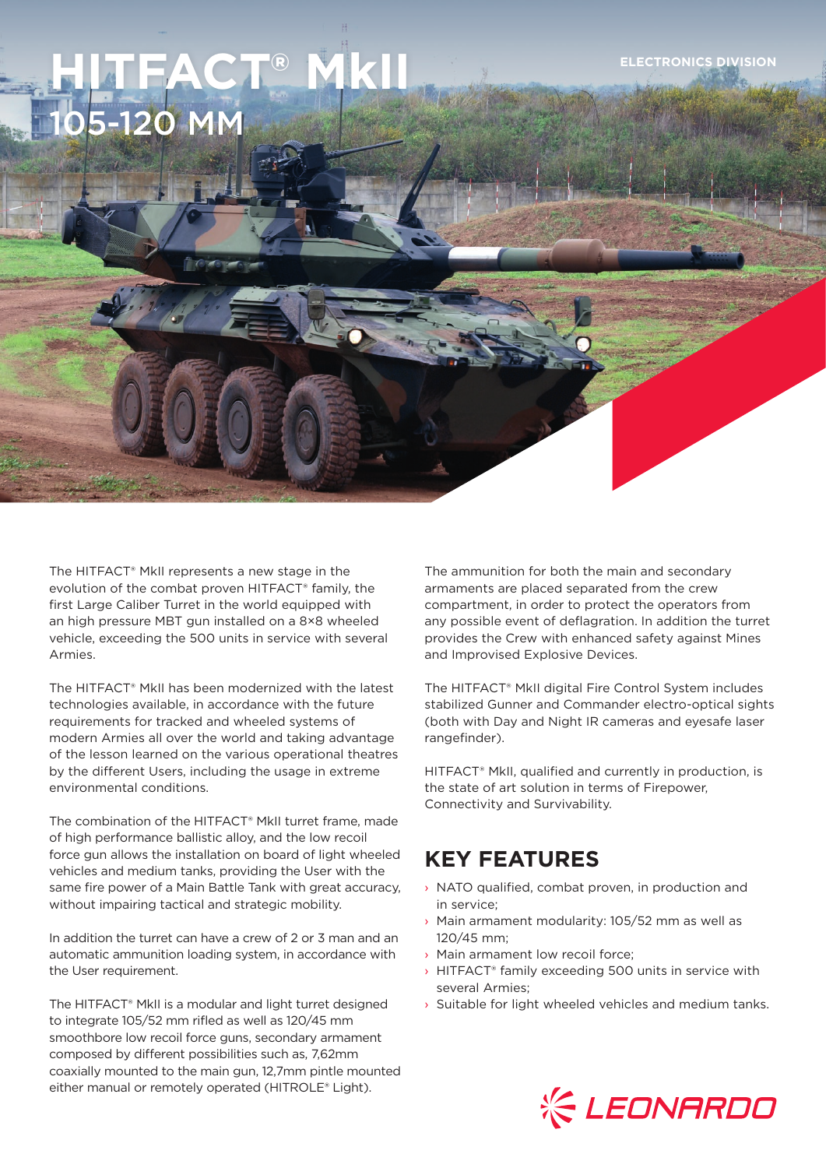# $HFACT<sup>®</sup> MKII$ 15-120 MM

The HITFACT® MkII represents a new stage in the evolution of the combat proven HITFACT® family, the first Large Caliber Turret in the world equipped with an high pressure MBT gun installed on a 8×8 wheeled vehicle, exceeding the 500 units in service with several Armies.

The HITFACT® MkII has been modernized with the latest technologies available, in accordance with the future requirements for tracked and wheeled systems of modern Armies all over the world and taking advantage of the lesson learned on the various operational theatres by the different Users, including the usage in extreme environmental conditions.

The combination of the HITFACT® MkII turret frame, made of high performance ballistic alloy, and the low recoil force gun allows the installation on board of light wheeled vehicles and medium tanks, providing the User with the same fire power of a Main Battle Tank with great accuracy, without impairing tactical and strategic mobility.

In addition the turret can have a crew of 2 or 3 man and an automatic ammunition loading system, in accordance with the User requirement.

The HITFACT® MkII is a modular and light turret designed to integrate 105/52 mm rifled as well as 120/45 mm smoothbore low recoil force guns, secondary armament composed by different possibilities such as, 7,62mm coaxially mounted to the main gun, 12,7mm pintle mounted either manual or remotely operated (HITROLE® Light).

The ammunition for both the main and secondary armaments are placed separated from the crew compartment, in order to protect the operators from any possible event of deflagration. In addition the turret provides the Crew with enhanced safety against Mines and Improvised Explosive Devices.

The HITFACT® MkII digital Fire Control System includes stabilized Gunner and Commander electro-optical sights (both with Day and Night IR cameras and eyesafe laser rangefinder).

HITFACT® MkII, qualified and currently in production, is the state of art solution in terms of Firepower, Connectivity and Survivability.

## **KEY FEATURES**

- › NATO qualified, combat proven, in production and in service;
- › Main armament modularity: 105/52 mm as well as 120/45 mm;
- › Main armament low recoil force;
- › HITFACT® family exceeding 500 units in service with several Armies;
- $\rightarrow$  Suitable for light wheeled vehicles and medium tanks.